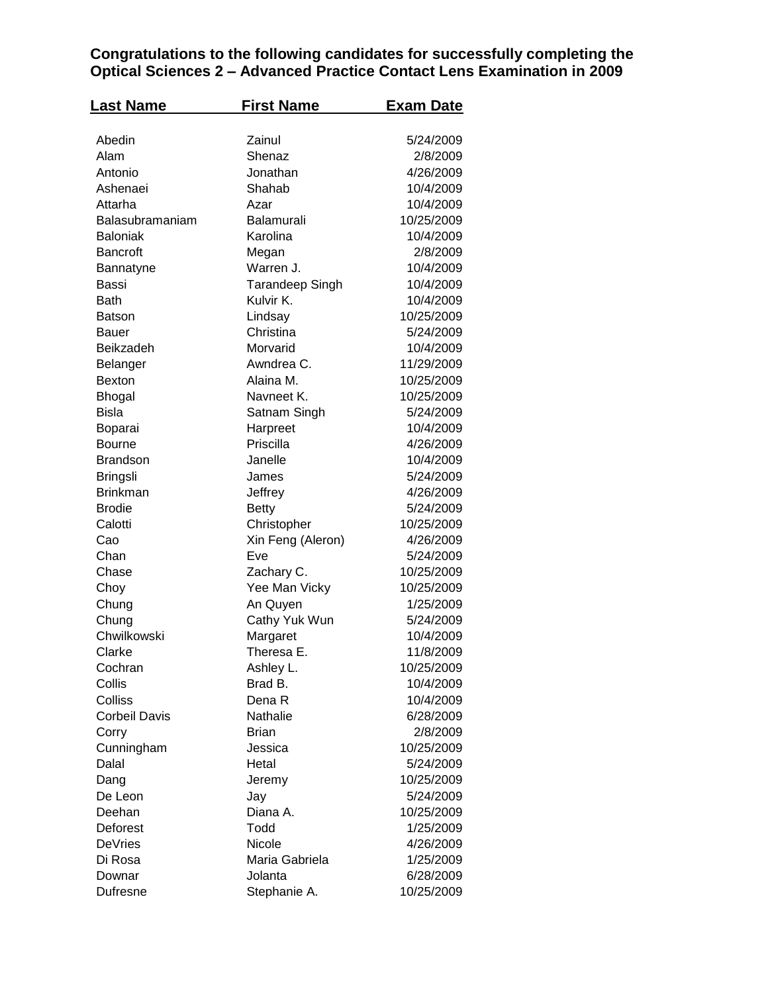## **Congratulations to the following candidates for successfully completing the Optical Sciences 2 – Advanced Practice Contact Lens Examination in 2009**

| Last Name                          | <b>First Name</b>      | Exam Date  |
|------------------------------------|------------------------|------------|
|                                    |                        |            |
| Abedin                             | Zainul                 | 5/24/2009  |
| Alam                               | Shenaz                 | 2/8/2009   |
| Antonio                            | Jonathan               | 4/26/2009  |
| Ashenaei                           | Shahab                 | 10/4/2009  |
| Attarha                            | Azar                   | 10/4/2009  |
| Balasubramaniam                    | Balamurali             | 10/25/2009 |
| <b>Baloniak</b>                    | Karolina               | 10/4/2009  |
| <b>Bancroft</b>                    | Megan                  | 2/8/2009   |
| Bannatyne                          | Warren J.              | 10/4/2009  |
| Bassi                              | <b>Tarandeep Singh</b> | 10/4/2009  |
| <b>Bath</b>                        | Kulvir K.              | 10/4/2009  |
| <b>Batson</b>                      | Lindsay                | 10/25/2009 |
| Bauer                              | Christina              | 5/24/2009  |
| Beikzadeh                          | Morvarid               | 10/4/2009  |
| Belanger                           | Awndrea C.             | 11/29/2009 |
| <b>Bexton</b>                      | Alaina M.              | 10/25/2009 |
| <b>Bhogal</b>                      | Navneet K.             | 10/25/2009 |
| <b>Bisla</b>                       | Satnam Singh           | 5/24/2009  |
| Boparai                            | Harpreet               | 10/4/2009  |
| <b>Bourne</b>                      | Priscilla              | 4/26/2009  |
| <b>Brandson</b>                    | Janelle                | 10/4/2009  |
|                                    |                        |            |
| <b>Bringsli</b><br><b>Brinkman</b> | James                  | 5/24/2009  |
|                                    | Jeffrey                | 4/26/2009  |
| <b>Brodie</b>                      | <b>Betty</b>           | 5/24/2009  |
| Calotti                            | Christopher            | 10/25/2009 |
| Cao                                | Xin Feng (Aleron)      | 4/26/2009  |
| Chan                               | Eve                    | 5/24/2009  |
| Chase                              | Zachary C.             | 10/25/2009 |
| Choy                               | Yee Man Vicky          | 10/25/2009 |
| Chung                              | An Quyen               | 1/25/2009  |
| Chung                              | Cathy Yuk Wun          | 5/24/2009  |
| Chwilkowski                        | Margaret               | 10/4/2009  |
| Clarke                             | Theresa E.             | 11/8/2009  |
| Cochran                            | Ashley L.              | 10/25/2009 |
| Collis                             | Brad B.                | 10/4/2009  |
| Colliss                            | Dena R                 | 10/4/2009  |
| <b>Corbeil Davis</b>               | Nathalie               | 6/28/2009  |
| Corry                              | <b>Brian</b>           | 2/8/2009   |
| Cunningham                         | Jessica                | 10/25/2009 |
| Dalal                              | Hetal                  | 5/24/2009  |
| Dang                               | Jeremy                 | 10/25/2009 |
| De Leon                            | Jay                    | 5/24/2009  |
| Deehan                             | Diana A.               | 10/25/2009 |
| Deforest                           | Todd                   | 1/25/2009  |
| <b>DeVries</b>                     | Nicole                 | 4/26/2009  |
| Di Rosa                            | Maria Gabriela         | 1/25/2009  |
| Downar                             | Jolanta                | 6/28/2009  |
| <b>Dufresne</b>                    | Stephanie A.           | 10/25/2009 |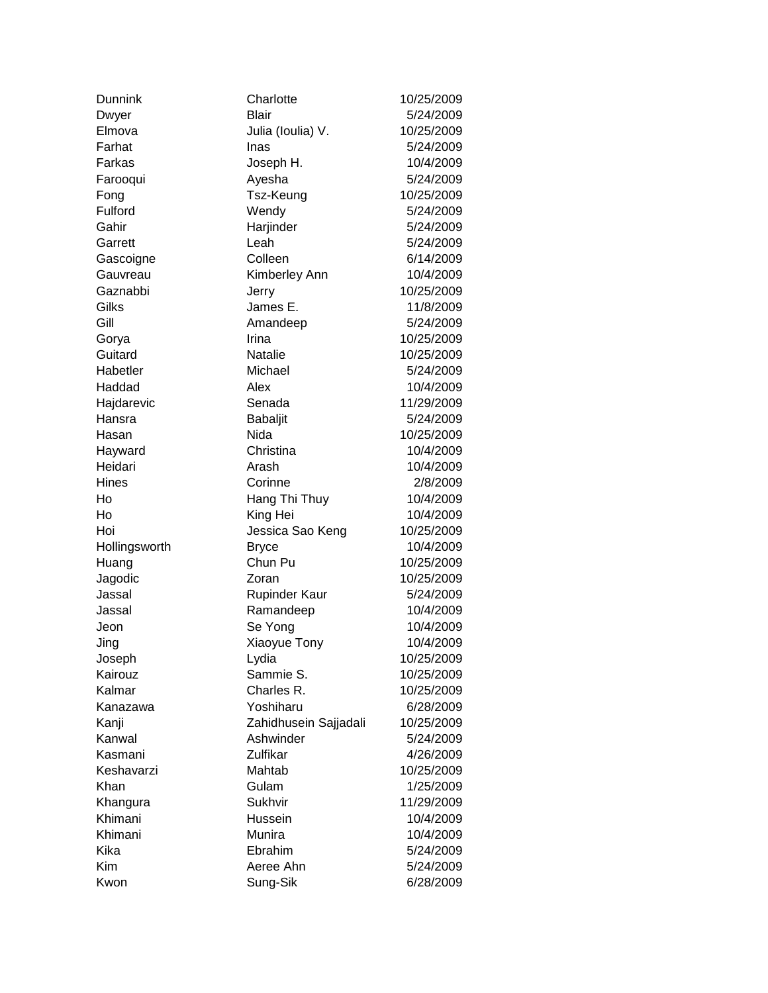| Dunnink       | Charlotte             | 10/25/2009 |
|---------------|-----------------------|------------|
| Dwyer         | <b>Blair</b>          | 5/24/2009  |
| Elmova        | Julia (Ioulia) V.     | 10/25/2009 |
| Farhat        | Inas                  | 5/24/2009  |
| Farkas        | Joseph H.             | 10/4/2009  |
| Farooqui      | Ayesha                | 5/24/2009  |
| Fong          | Tsz-Keung             | 10/25/2009 |
| Fulford       | Wendy                 | 5/24/2009  |
| Gahir         | Harjinder             | 5/24/2009  |
| Garrett       | Leah                  | 5/24/2009  |
| Gascoigne     | Colleen               | 6/14/2009  |
| Gauvreau      | Kimberley Ann         | 10/4/2009  |
| Gaznabbi      | Jerry                 | 10/25/2009 |
| Gilks         | James E.              | 11/8/2009  |
| Gill          | Amandeep              | 5/24/2009  |
| Gorya         | Irina                 | 10/25/2009 |
| Guitard       | Natalie               | 10/25/2009 |
| Habetler      | Michael               | 5/24/2009  |
| Haddad        | Alex                  | 10/4/2009  |
| Hajdarevic    | Senada                | 11/29/2009 |
| Hansra        | <b>Babaljit</b>       | 5/24/2009  |
| Hasan         | Nida                  | 10/25/2009 |
| Hayward       | Christina             | 10/4/2009  |
| Heidari       | Arash                 | 10/4/2009  |
| Hines         | Corinne               | 2/8/2009   |
| Ho            | Hang Thi Thuy         | 10/4/2009  |
| Ho            | King Hei              | 10/4/2009  |
| Hoi           | Jessica Sao Keng      | 10/25/2009 |
| Hollingsworth | <b>Bryce</b>          | 10/4/2009  |
| Huang         | Chun Pu               | 10/25/2009 |
| Jagodic       | Zoran                 | 10/25/2009 |
| Jassal        | <b>Rupinder Kaur</b>  | 5/24/2009  |
| Jassal        | Ramandeep             | 10/4/2009  |
| Jeon          | Se Yong               | 10/4/2009  |
| Jing          | Xiaoyue Tony          | 10/4/2009  |
| Joseph        | Lydia                 | 10/25/2009 |
| Kairouz       | Sammie S.             | 10/25/2009 |
| Kalmar        | Charles R.            | 10/25/2009 |
| Kanazawa      | Yoshiharu             | 6/28/2009  |
| Kanji         | Zahidhusein Sajjadali | 10/25/2009 |
| Kanwal        | Ashwinder             | 5/24/2009  |
| Kasmani       | Zulfikar              | 4/26/2009  |
| Keshavarzi    | Mahtab                | 10/25/2009 |
| Khan          | Gulam                 | 1/25/2009  |
| Khangura      | Sukhvir               | 11/29/2009 |
| Khimani       | Hussein               | 10/4/2009  |
| Khimani       | Munira                | 10/4/2009  |
| Kika          | Ebrahim               | 5/24/2009  |
| Kim           | Aeree Ahn             | 5/24/2009  |
| Kwon          | Sung-Sik              | 6/28/2009  |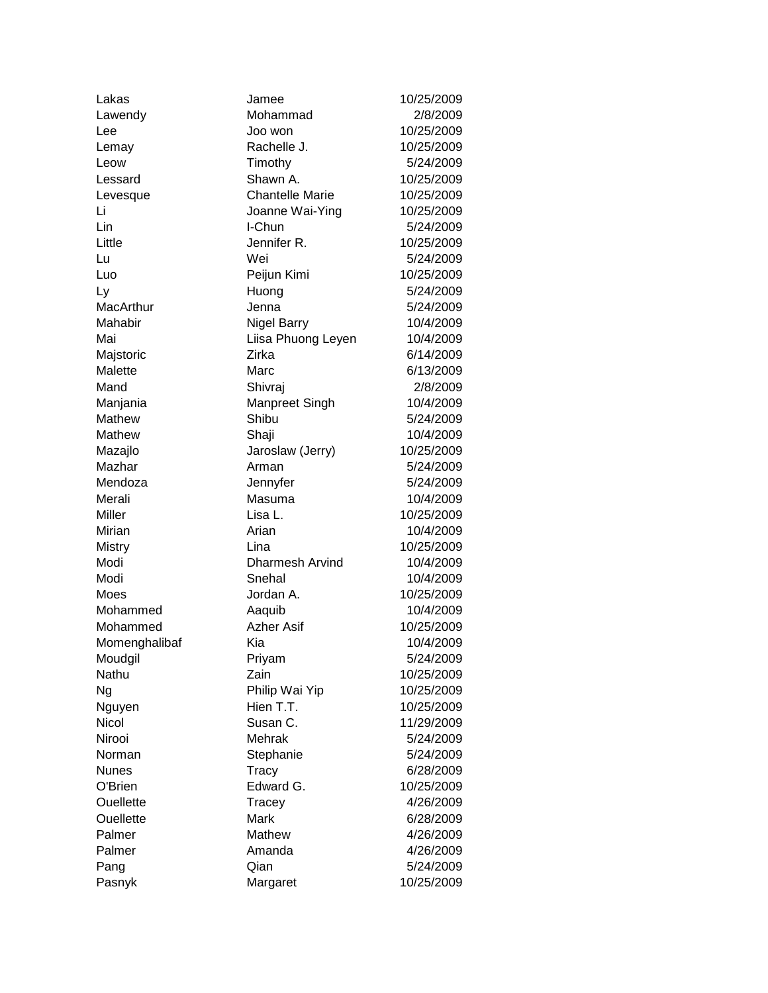| Lakas            | Jamee                  | 10/25/2009 |
|------------------|------------------------|------------|
| Lawendy          | Mohammad               | 2/8/2009   |
| Lee              | Joo won                | 10/25/2009 |
| Lemay            | Rachelle J.            | 10/25/2009 |
| Leow             | Timothy                | 5/24/2009  |
| Lessard          | Shawn A.               | 10/25/2009 |
| Levesque         | <b>Chantelle Marie</b> | 10/25/2009 |
| Li               | Joanne Wai-Ying        | 10/25/2009 |
| Lin              | I-Chun                 | 5/24/2009  |
| Little           | Jennifer R.            | 10/25/2009 |
| Lu               | Wei                    | 5/24/2009  |
| Luo              | Peijun Kimi            | 10/25/2009 |
| Ly               | Huong                  | 5/24/2009  |
| MacArthur        | Jenna                  | 5/24/2009  |
| Mahabir          | <b>Nigel Barry</b>     | 10/4/2009  |
| Mai              | Liisa Phuong Leyen     | 10/4/2009  |
| Majstoric        | Zirka                  | 6/14/2009  |
| Malette          | Marc                   | 6/13/2009  |
| Mand             | Shivraj                | 2/8/2009   |
| Manjania         | <b>Manpreet Singh</b>  | 10/4/2009  |
| Mathew           | Shibu                  | 5/24/2009  |
| Mathew           | Shaji                  | 10/4/2009  |
| Mazajlo          | Jaroslaw (Jerry)       | 10/25/2009 |
| Mazhar           | Arman                  | 5/24/2009  |
| Mendoza          | Jennyfer               | 5/24/2009  |
| Merali           | Masuma                 | 10/4/2009  |
| Miller           | Lisa L.                | 10/25/2009 |
| Mirian           | Arian                  | 10/4/2009  |
| Mistry           | Lina                   | 10/25/2009 |
| Modi             | <b>Dharmesh Arvind</b> | 10/4/2009  |
| Modi             | Snehal                 | 10/4/2009  |
| Moes             | Jordan A.              | 10/25/2009 |
| Mohammed         | Aaquib                 | 10/4/2009  |
| Mohammed         | <b>Azher Asif</b>      | 10/25/2009 |
| Momenghalibaf    | Kia                    | 10/4/2009  |
| Moudgil          | Priyam                 | 5/24/2009  |
| Nathu            | Zain                   | 10/25/2009 |
| Ng               | Philip Wai Yip         | 10/25/2009 |
| Nguyen           | Hien T.T.              | 10/25/2009 |
| <b>Nicol</b>     | Susan C.               | 11/29/2009 |
| Nirooi           | Mehrak                 | 5/24/2009  |
| Norman           | Stephanie              | 5/24/2009  |
| <b>Nunes</b>     | Tracy                  | 6/28/2009  |
| O'Brien          | Edward G.              | 10/25/2009 |
| <b>Ouellette</b> | Tracey                 | 4/26/2009  |
| <b>Ouellette</b> | Mark                   | 6/28/2009  |
| Palmer           | Mathew                 | 4/26/2009  |
| Palmer           | Amanda                 | 4/26/2009  |
| Pang             | Qian                   | 5/24/2009  |
| Pasnyk           | Margaret               | 10/25/2009 |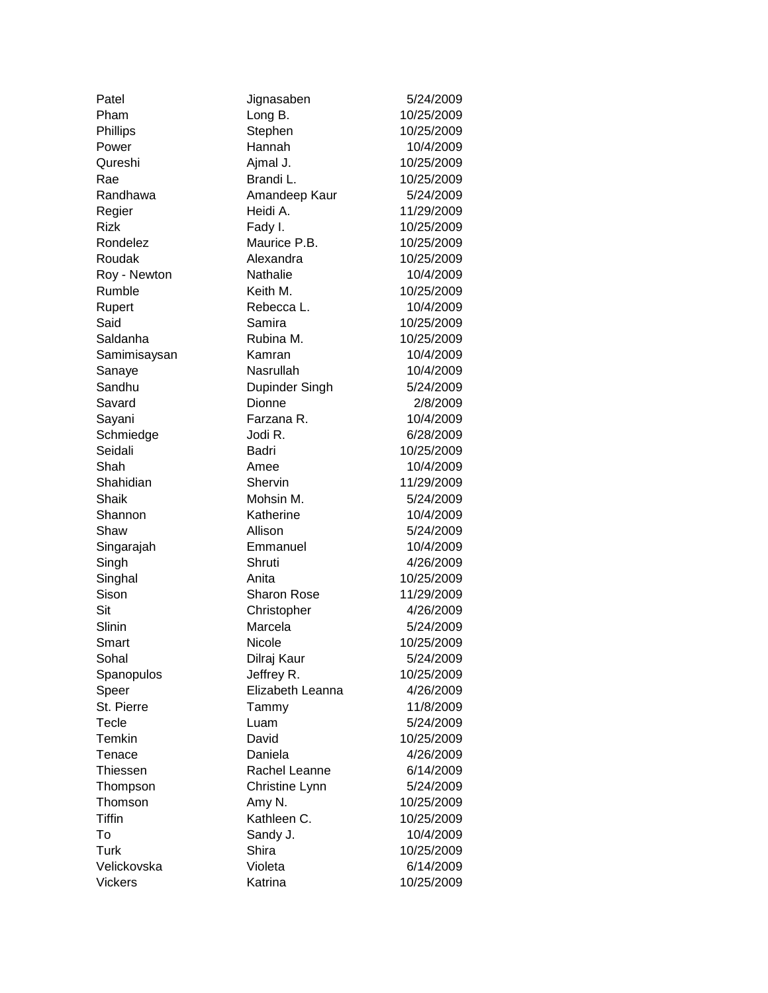| Patel          | Jignasaben       | 5/24/2009  |
|----------------|------------------|------------|
| Pham           | Long B.          | 10/25/2009 |
| Phillips       | Stephen          | 10/25/2009 |
| Power          | Hannah           | 10/4/2009  |
| Qureshi        | Ajmal J.         | 10/25/2009 |
| Rae            | Brandi L.        | 10/25/2009 |
| Randhawa       | Amandeep Kaur    | 5/24/2009  |
| Regier         | Heidi A.         | 11/29/2009 |
| <b>Rizk</b>    | Fady I.          | 10/25/2009 |
| Rondelez       | Maurice P.B.     | 10/25/2009 |
| Roudak         | Alexandra        | 10/25/2009 |
| Roy - Newton   | Nathalie         | 10/4/2009  |
| Rumble         | Keith M.         | 10/25/2009 |
| Rupert         | Rebecca L.       | 10/4/2009  |
| Said           | Samira           | 10/25/2009 |
| Saldanha       | Rubina M.        | 10/25/2009 |
| Samimisaysan   | Kamran           | 10/4/2009  |
| Sanaye         | Nasrullah        | 10/4/2009  |
| Sandhu         | Dupinder Singh   | 5/24/2009  |
| Savard         | Dionne           | 2/8/2009   |
| Sayani         | Farzana R.       | 10/4/2009  |
| Schmiedge      | Jodi R.          | 6/28/2009  |
| Seidali        | Badri            | 10/25/2009 |
| Shah           | Amee             | 10/4/2009  |
| Shahidian      | Shervin          | 11/29/2009 |
| Shaik          | Mohsin M.        | 5/24/2009  |
| Shannon        | Katherine        | 10/4/2009  |
| Shaw           | Allison          | 5/24/2009  |
| Singarajah     | Emmanuel         | 10/4/2009  |
| Singh          | Shruti           | 4/26/2009  |
| Singhal        | Anita            | 10/25/2009 |
| Sison          | Sharon Rose      | 11/29/2009 |
| Sit            | Christopher      | 4/26/2009  |
| Slinin         | Marcela          | 5/24/2009  |
| Smart          | Nicole           | 10/25/2009 |
| Sohal          | Dilraj Kaur      | 5/24/2009  |
| Spanopulos     | Jeffrey R.       | 10/25/2009 |
| Speer          | Elizabeth Leanna | 4/26/2009  |
| St. Pierre     | Tammy            | 11/8/2009  |
| Tecle          | Luam             | 5/24/2009  |
| Temkin         | David            | 10/25/2009 |
| Tenace         | Daniela          | 4/26/2009  |
| Thiessen       | Rachel Leanne    | 6/14/2009  |
| Thompson       | Christine Lynn   | 5/24/2009  |
| Thomson        | Amy N.           | 10/25/2009 |
| <b>Tiffin</b>  | Kathleen C.      | 10/25/2009 |
| To             | Sandy J.         | 10/4/2009  |
| Turk           | Shira            | 10/25/2009 |
| Velickovska    | Violeta          | 6/14/2009  |
| <b>Vickers</b> | Katrina          | 10/25/2009 |